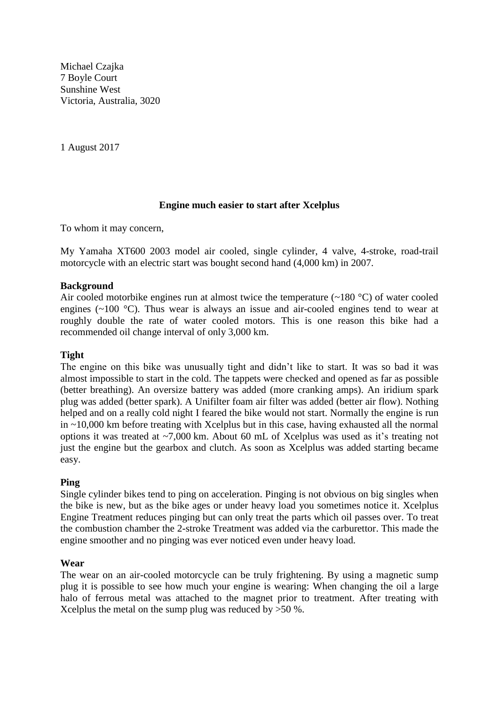Michael Czajka 7 Boyle Court Sunshine West Victoria, Australia, 3020

1 August 2017

# **Engine much easier to start after Xcelplus**

To whom it may concern,

My Yamaha XT600 2003 model air cooled, single cylinder, 4 valve, 4-stroke, road-trail motorcycle with an electric start was bought second hand (4,000 km) in 2007.

### **Background**

Air cooled motorbike engines run at almost twice the temperature  $(-180 \degree C)$  of water cooled engines (~100 °C). Thus wear is always an issue and air-cooled engines tend to wear at roughly double the rate of water cooled motors. This is one reason this bike had a recommended oil change interval of only 3,000 km.

### **Tight**

The engine on this bike was unusually tight and didn't like to start. It was so bad it was almost impossible to start in the cold. The tappets were checked and opened as far as possible (better breathing). An oversize battery was added (more cranking amps). An iridium spark plug was added (better spark). A Unifilter foam air filter was added (better air flow). Nothing helped and on a really cold night I feared the bike would not start. Normally the engine is run in ~10,000 km before treating with Xcelplus but in this case, having exhausted all the normal options it was treated at ~7,000 km. About 60 mL of Xcelplus was used as it's treating not just the engine but the gearbox and clutch. As soon as Xcelplus was added starting became easy.

#### **Ping**

Single cylinder bikes tend to ping on acceleration. Pinging is not obvious on big singles when the bike is new, but as the bike ages or under heavy load you sometimes notice it. Xcelplus Engine Treatment reduces pinging but can only treat the parts which oil passes over. To treat the combustion chamber the 2-stroke Treatment was added via the carburettor. This made the engine smoother and no pinging was ever noticed even under heavy load.

#### **Wear**

The wear on an air-cooled motorcycle can be truly frightening. By using a magnetic sump plug it is possible to see how much your engine is wearing: When changing the oil a large halo of ferrous metal was attached to the magnet prior to treatment. After treating with Xcelplus the metal on the sump plug was reduced by >50 %.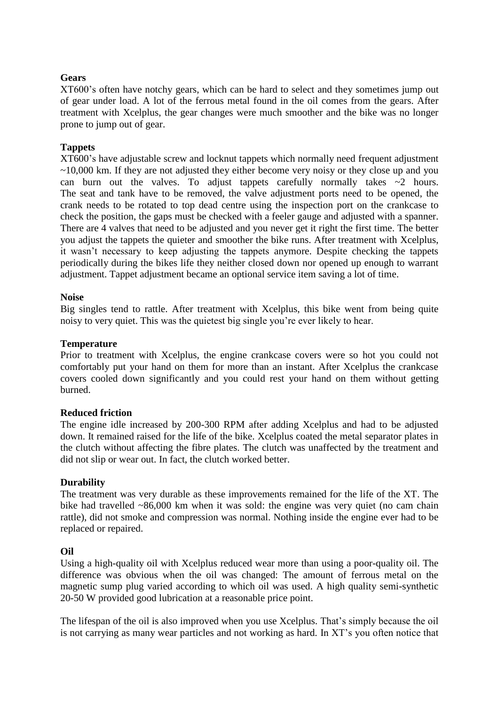# **Gears**

XT600's often have notchy gears, which can be hard to select and they sometimes jump out of gear under load. A lot of the ferrous metal found in the oil comes from the gears. After treatment with Xcelplus, the gear changes were much smoother and the bike was no longer prone to jump out of gear.

# **Tappets**

XT600's have adjustable screw and locknut tappets which normally need frequent adjustment  $\sim$ 10,000 km. If they are not adjusted they either become very noisy or they close up and you can burn out the valves. To adjust tappets carefully normally takes  $\sim$ 2 hours. The seat and tank have to be removed, the valve adjustment ports need to be opened, the crank needs to be rotated to top dead centre using the inspection port on the crankcase to check the position, the gaps must be checked with a feeler gauge and adjusted with a spanner. There are 4 valves that need to be adjusted and you never get it right the first time. The better you adjust the tappets the quieter and smoother the bike runs. After treatment with Xcelplus, it wasn't necessary to keep adjusting the tappets anymore. Despite checking the tappets periodically during the bikes life they neither closed down nor opened up enough to warrant adjustment. Tappet adjustment became an optional service item saving a lot of time.

# **Noise**

Big singles tend to rattle. After treatment with Xcelplus, this bike went from being quite noisy to very quiet. This was the quietest big single you're ever likely to hear.

### **Temperature**

Prior to treatment with Xcelplus, the engine crankcase covers were so hot you could not comfortably put your hand on them for more than an instant. After Xcelplus the crankcase covers cooled down significantly and you could rest your hand on them without getting burned.

# **Reduced friction**

The engine idle increased by 200-300 RPM after adding Xcelplus and had to be adjusted down. It remained raised for the life of the bike. Xcelplus coated the metal separator plates in the clutch without affecting the fibre plates. The clutch was unaffected by the treatment and did not slip or wear out. In fact, the clutch worked better.

# **Durability**

The treatment was very durable as these improvements remained for the life of the XT. The bike had travelled ~86,000 km when it was sold: the engine was very quiet (no cam chain rattle), did not smoke and compression was normal. Nothing inside the engine ever had to be replaced or repaired.

# **Oil**

Using a high-quality oil with Xcelplus reduced wear more than using a poor-quality oil. The difference was obvious when the oil was changed: The amount of ferrous metal on the magnetic sump plug varied according to which oil was used. A high quality semi-synthetic 20-50 W provided good lubrication at a reasonable price point.

The lifespan of the oil is also improved when you use Xcelplus. That's simply because the oil is not carrying as many wear particles and not working as hard. In XT's you often notice that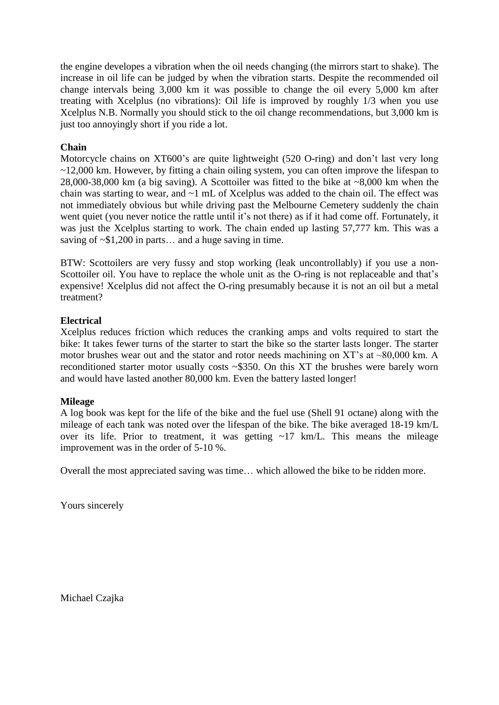the engine developes a vibration when the oil needs changing (the mirrors start to shake). The increase in oil life can be judged by when the vibration starts. Despite the recommended oil change intervals being 3,000 km it was possible to change the oil every 5,000 km after treating with Xcelplus (no vibrations): Oil life is improved by roughly 1/3 when you use Xcelplus N.B. Normally you should stick to the oil change recommendations, but 3,000 km is just too annoyingly short if you ride a lot.

# **Chain**

Motorcycle chains on XT600's are quite lightweight (520 O-ring) and don't last very long  $\sim$ 12,000 km. However, by fitting a chain oiling system, you can often improve the lifespan to 28,000-38,000 km (a big saving). A Scottoiler was fitted to the bike at ~8,000 km when the chain was starting to wear, and ~1 mL of Xcelplus was added to the chain oil. The effect was not immediately obvious but while driving past the Melbourne Cemetery suddenly the chain went quiet (you never notice the rattle until it's not there) as if it had come off. Fortunately, it was just the Xcelplus starting to work. The chain ended up lasting 57,777 km. This was a saving of  $\sim$ \$1,200 in parts... and a huge saving in time.

BTW: Scottoilers are very fussy and stop working (leak uncontrollably) if you use a non-Scottoiler oil. You have to replace the whole unit as the O-ring is not replaceable and that's expensive! Xcelplus did not affect the O-ring presumably because it is not an oil but a metal treatment?

# **Electrical**

Xcelplus reduces friction which reduces the cranking amps and volts required to start the bike: It takes fewer turns of the starter to start the bike so the starter lasts longer. The starter motor brushes wear out and the stator and rotor needs machining on XT's at ~80,000 km. A reconditioned starter motor usually costs ~\$350. On this XT the brushes were barely worn and would have lasted another 80,000 km. Even the battery lasted longer!

# **Mileage**

A log book was kept for the life of the bike and the fuel use (Shell 91 octane) along with the mileage of each tank was noted over the lifespan of the bike. The bike averaged 18-19 km/L over its life. Prior to treatment, it was getting  $\sim$ 17 km/L. This means the mileage improvement was in the order of 5-10 %.

Overall the most appreciated saving was time… which allowed the bike to be ridden more.

Yours sincerely

Michael Czajka